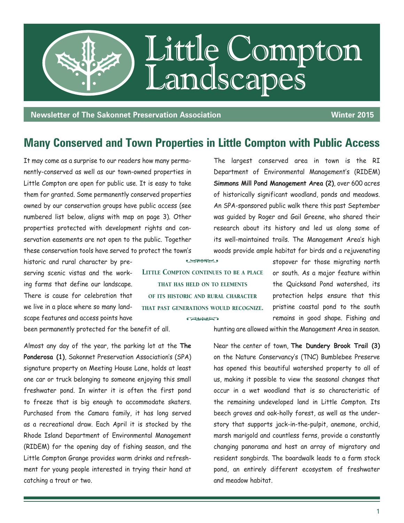

**Newsletter of The Sakonnet Preservation Association Mean Construction Winter 2015** 

## **Many Conserved and Town Properties in Little Compton with Public Access**

Little Compton continues to be a place that has held on to elements of its historic and rural character that past generations would recognize.

**CALINERY** 

**Common** 

It may come as a surprise to our readers how many permanently-conserved as well as our town-owned properties in Little Compton are open for public use. It is easy to take them for granted. Some permanently conserved properties owned by our conservation groups have public access (see numbered list below, aligns with map on page 3). Other properties protected with development rights and conservation easements are not open to the public. Together these conservation tools have served to protect the town's

historic and rural character by preserving scenic vistas and the working farms that define our landscape. There is cause for celebration that we live in a place where so many landscape features and access points have

been permanently protected for the benefit of all.

Almost any day of the year, the parking lot at the **The Ponderosa (1)**, Sakonnet Preservation Association's (SPA) signature property on Meeting House Lane, holds at least one car or truck belonging to someone enjoying this small freshwater pond. In winter it is often the first pond to freeze that is big enough to accommodate skaters. Purchased from the Camara family, it has long served as a recreational draw. Each April it is stocked by the Rhode Island Department of Environmental Management (RIDEM) for the opening day of fishing season, and the Little Compton Grange provides warm drinks and refreshment for young people interested in trying their hand at catching a trout or two.

Department of Environmental Management's (RIDEM) **Simmons Mill Pond Management Area (2)**, over 600 acres of historically significant woodland, ponds and meadows. An SPA-sponsored public walk there this past September was guided by Roger and Gail Greene, who shared their research about its history and led us along some of its well-maintained trails. The Management Area's high woods provide ample habitat for birds and a rejuvenating

The largest conserved area in town is the RI

stopover for those migrating north or south. As a major feature within the Quicksand Pond watershed, its protection helps ensure that this pristine coastal pond to the south remains in good shape. Fishing and

hunting are allowed within the Management Area in season.

Near the center of town, **The Dundery Brook Trail (3)** on the Nature Conservancy's (TNC) Bumblebee Preserve has opened this beautiful watershed property to all of us, making it possible to view the seasonal changes that occur in a wet woodland that is so characteristic of the remaining undeveloped land in Little Compton. Its beech groves and oak-holly forest, as well as the understory that supports jack-in-the-pulpit, anemone, orchid, marsh marigold and countless ferns, provide a constantly changing panorama and host an array of migratory and resident songbirds. The boardwalk leads to a farm stock pond, an entirely different ecosystem of freshwater and meadow habitat.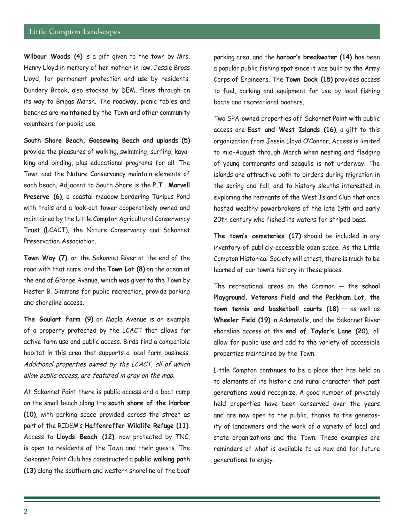**Wilbour Woods (4)** is a gift given to the town by Mrs. Henry Lloyd in memory of her mother-in-law, Jessie Bross Lloyd, for permanent protection and use by residents. Dundery Brook, also stocked by DEM, flows through on its way to Briggs Marsh. The roadway, picnic tables and benches are maintained by the Town and other community volunteers for public use.

**South Shore Beach, Goosewing Beach and uplands (5)**  provide the pleasures of walking, swimming, surfing, kayaking and birding, plus educational programs for all. The Town and the Nature Conservancy maintain elements of each beach. Adjacent to South Shore is the **P.T. Marvell Preserve (6)**, a coastal meadow bordering Tunipus Pond with trails and a look-out tower cooperatively owned and maintained by the Little Compton Agricultural Conservancy Trust (LCACT), the Nature Conservancy and Sakonnet Preservation Association.

**Town Way (7)**, on the Sakonnet River at the end of the road with that name, and the **Town Lot (8)** on the ocean at the end of Grange Avenue, which was given to the Town by Hester B. Simmons for public recreation, provide parking and shoreline access.

**The Goulart Farm (9)** on Maple Avenue is an example of a property protected by the LCACT that allows for active farm use and public access. Birds find a compatible habitat in this area that supports a local farm business. Additional properties owned by the LCACT, all of which allow public access, are featured in gray on the map.

At Sakonnet Point there is public access and a boat ramp on the small beach along the **south shore of the Harbor (10)**, with parking space provided across the street as part of the RIDEM's **Haffenreffer Wildlife Refuge (11)**. Access to **Lloyds Beach (12)**, now protected by TNC, is open to residents of the Town and their guests. The Sakonnet Point Club has constructed a **public walking path (13)** along the southern and western shoreline of the boat

parking area, and the **harbor's breakwater (14)** has been a popular public fishing spot since it was built by the Army Corps of Engineers. The **Town Dock (15)** provides access to fuel, parking and equipment for use by local fishing boats and recreational boaters.

Two SPA-owned properties off Sakonnet Point with public access are **East and West Islands (16)**, a gift to this organization from Jessie Lloyd O'Connor. Access is limited to mid-August through March when nesting and fledging of young cormorants and seagulls is not underway. The islands are attractive both to birders during migration in the spring and fall, and to history sleuths interested in exploring the remnants of the West Island Club that once hosted wealthy powerbrokers of the late 19th and early 20th century who fished its waters for striped bass.

**The town's cemeteries (17)** should be included in any inventory of publicly-accessible open space. As the Little Compton Historical Society will attest, there is much to be learned of our town's history in these places.

The recreational areas on the Common — the **school Playground, Veterans Field and the Peckham Lot, the town tennis and basketball courts (18)** — as well as **Wheeler Field (19)** in Adamsville, and the Sakonnet River shoreline access at the **end of Taylor's Lane (20)**, all allow for public use and add to the variety of accessible properties maintained by the Town.

Little Compton continues to be a place that has held on to elements of its historic and rural character that past generations would recognize. A good number of privately held properties have been conserved over the years and are now open to the public, thanks to the generosity of landowners and the work of a variety of local and state organizations and the Town. These examples are reminders of what is available to us now and for future generations to enjoy.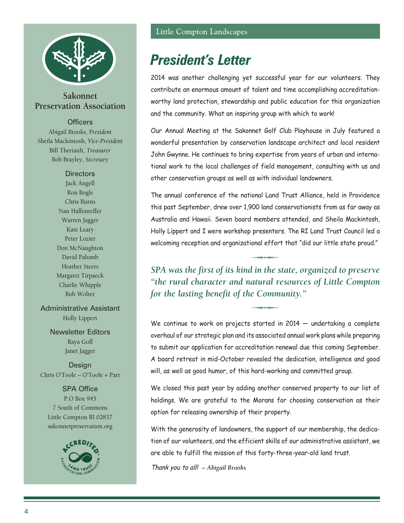

**Sakonnet Preservation Association** 

#### **Officers**

Abigail Brooks, *President* Sheila Mackintosh, *Vice-President* Bill Theriault, *Treasurer* Bob Brayley, *Secretary*

### **Directors**

Jack Angell Ron Bogle Chris Burns Nan Haffenreffer Warren Jagger Kate Leary Peter Lozier Don McNaughton David Palumb Heather Steers Margaret Tirpaeck Charlie Whipple Bob Wolter

Administrative Assistant Holly Lippert

> Newsletter Editors Raya Goff Janet Jagger

Design Chris O'Toole – O'Toole + Parr

SPA Office P.O Box 945 7 South of Commons Little Compton RI 02837 sakonnetpreservation.org



# *President's Letter*

2014 was another challenging yet successful year for our volunteers. They contribute an enormous amount of talent and time accomplishing accreditationworthy land protection, stewardship and public education for this organization and the community. What an inspiring group with which to work!

Our Annual Meeting at the Sakonnet Golf Club Playhouse in July featured a wonderful presentation by conservation landscape architect and local resident John Gwynne. He continues to bring expertise from years of urban and international work to the local challenges of field management, consulting with us and other conservation groups as well as with individual landowners.

The annual conference of the national Land Trust Alliance, held in Providence this past September, drew over 1,900 land conservationists from as far away as Australia and Hawaii. Seven board members attended, and Sheila Mackintosh, Holly Lippert and I were workshop presenters. The RI Land Trust Council led a welcoming reception and organizational effort that "did our little state proud."

*SPA was the first of its kind in the state, organized to preserve "the rural character and natural resources of Little Compton for the lasting benefit of the Community."* 

We continue to work on projects started in 2014 – undertaking a complete overhaul of our strategic plan and its associated annual work plans while preparing to submit our application for accreditation renewal due this coming September. A board retreat in mid-October revealed the dedication, intelligence and good will, as well as good humor, of this hard-working and committed group.

We closed this past year by adding another conserved property to our list of holdings. We are grateful to the Morans for choosing conservation as their option for releasing ownership of their property.

With the generosity of landowners, the support of our membership, the dedication of our volunteers, and the efficient skills of our administrative assistant, we are able to fulfill the mission of this forty-three-year-old land trust.

Thank you to all! *– Abigail Brooks*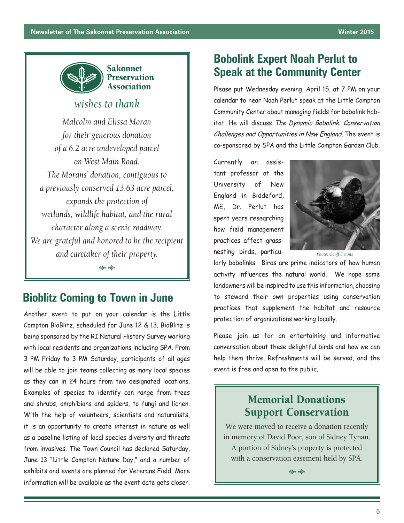

## *wishes to thank*

*Malcolm and Elissa Moran for their generous donation of a 6.2 acre undeveloped parcel on West Main Road. The Morans' donation, contiguous to a previously conserved 13.63 acre parcel, expands the protection of wetlands, wildlife habitat, and the rural character along a scenic roadway. We are grateful and honored to be the recipient and caretaker of their property.*

 $\Rightarrow$ 

## **Bioblitz Coming to Town in June**

Another event to put on your calendar is the Little Compton BioBlitz, scheduled for June 12 & 13. BioBlitz is being sponsored by the RI Natural History Survey working with local residents and organizations including SPA. From 3 PM Friday to 3 PM Saturday, participants of all ages will be able to join teams collecting as many local species as they can in 24 hours from two designated locations. Examples of species to identify can range from trees and shrubs, amphibians and spiders, to fungi and lichen. With the help of volunteers, scientists and naturalists, it is an opportunity to create interest in nature as well as a baseline listing of local species diversity and threats from invasives. The Town Council has declared Saturday, June 13 "Little Compton Nature Day," and a number of exhibits and events are planned for Veterans Field. More information will be available as the event date gets closer.

## **Bobolink Expert Noah Perlut to Speak at the Community Center**

Please put Wednesday evening, April 15, at 7 PM on your calendar to hear Noah Perlut speak at the Little Compton Community Center about managing fields for bobolink habitat. He will discuss The Dynamic Bobolink: Conservation Challenges and Opportunities in New England. The event is co-sponsored by SPA and the Little Compton Garden Club.

Currently an assistant professor at the University of New England in Biddeford, ME, Dr. Perlut has spent years researching how field management practices affect grassnesting birds, particu-



*Photo: Geoff Dennis*

larly bobolinks. Birds are prime indicators of how human activity influences the natural world. We hope some landowners will be inspired to use this information, choosing to steward their own properties using conservation practices that supplement the habitat and resource protection of organizations working locally.

Please join us for an entertaining and informative conversation about these delightful birds and how we can help them thrive. Refreshments will be served, and the event is free and open to the public.

## Memorial Donations Support Conservation

We were moved to receive a donation recently in memory of David Poor, son of Sidney Tynan. A portion of Sidney's property is protected with a conservation easement held by SPA.

 $\Rightarrow$